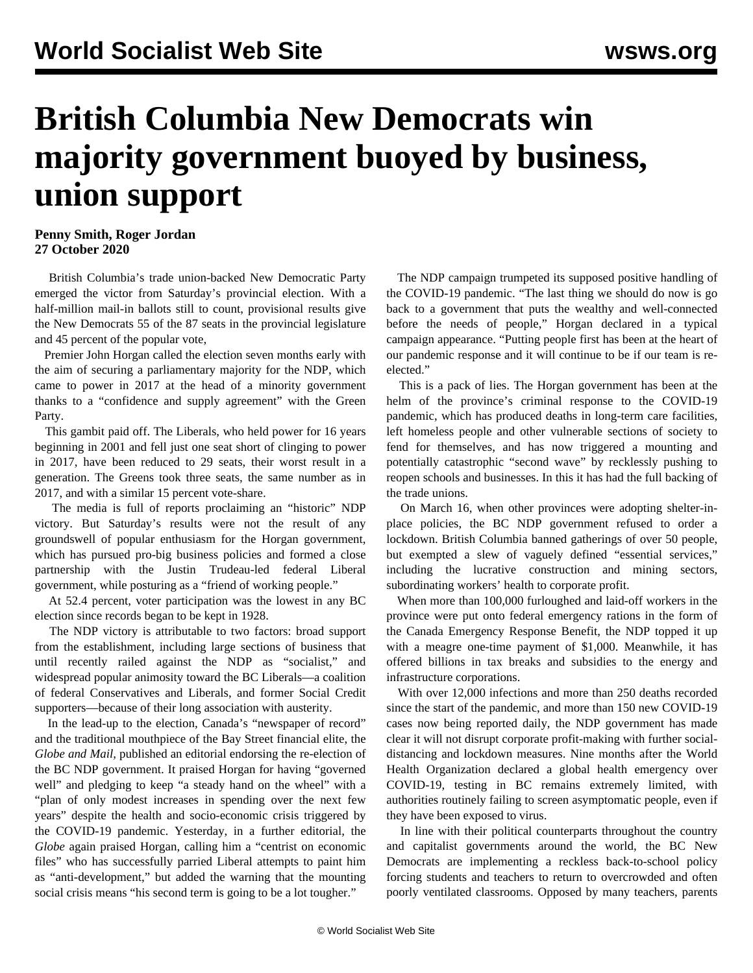## **British Columbia New Democrats win majority government buoyed by business, union support**

## **Penny Smith, Roger Jordan 27 October 2020**

 British Columbia's trade union-backed New Democratic Party emerged the victor from Saturday's provincial election. With a half-million mail-in ballots still to count, provisional results give the New Democrats 55 of the 87 seats in the provincial legislature and 45 percent of the popular vote,

 Premier John Horgan called the election seven months early with the aim of securing a parliamentary majority for the NDP, which came to power in 2017 at the head of a minority government thanks to a "confidence and supply agreement" with the Green Party.

 This gambit paid off. The Liberals, who held power for 16 years beginning in 2001 and fell just one seat short of clinging to power in 2017, have been reduced to 29 seats, their worst result in a generation. The Greens took three seats, the same number as in 2017, and with a similar 15 percent vote-share.

 The media is full of reports proclaiming an "historic" NDP victory. But Saturday's results were not the result of any groundswell of popular enthusiasm for the Horgan government, which has pursued pro-big business policies and formed a close partnership with the Justin Trudeau-led federal Liberal government, while posturing as a "friend of working people."

 At 52.4 percent, voter participation was the lowest in any BC election since records began to be kept in 1928.

 The NDP victory is attributable to two factors: broad support from the establishment, including large sections of business that until recently railed against the NDP as "socialist," and widespread popular animosity toward the BC Liberals—a coalition of federal Conservatives and Liberals, and former Social Credit supporters—because of their long association with austerity.

 In the lead-up to the election, Canada's "newspaper of record" and the traditional mouthpiece of the Bay Street financial elite, the *Globe and Mail*, published an editorial endorsing the re-election of the BC NDP government. It praised Horgan for having "governed well" and pledging to keep "a steady hand on the wheel" with a "plan of only modest increases in spending over the next few years" despite the health and socio-economic crisis triggered by the COVID-19 pandemic. Yesterday, in a further editorial, the *Globe* again praised Horgan, calling him a "centrist on economic files" who has successfully parried Liberal attempts to paint him as "anti-development," but added the warning that the mounting social crisis means "his second term is going to be a lot tougher."

 The NDP campaign trumpeted its supposed positive handling of the COVID-19 pandemic. "The last thing we should do now is go back to a government that puts the wealthy and well-connected before the needs of people," Horgan declared in a typical campaign appearance. "Putting people first has been at the heart of our pandemic response and it will continue to be if our team is reelected."

 This is a pack of lies. The Horgan government has been at the helm of the province's criminal response to the COVID-19 pandemic, which has produced deaths in long-term care facilities, left homeless people and other vulnerable sections of society to fend for themselves, and has now triggered a mounting and potentially catastrophic "second wave" by recklessly pushing to reopen schools and businesses. In this it has had the full backing of the trade unions.

 On March 16, when other provinces were adopting shelter-inplace policies, the BC NDP government refused to order a lockdown. British Columbia banned gatherings of over 50 people, but exempted a slew of vaguely defined "essential services," including the lucrative construction and mining sectors, subordinating workers' health to corporate profit.

 When more than 100,000 furloughed and laid-off workers in the province were put onto federal emergency rations in the form of the Canada Emergency Response Benefit, the NDP topped it up with a meagre one-time payment of \$1,000. Meanwhile, it has offered billions in tax breaks and subsidies to the energy and infrastructure corporations.

 With over 12,000 infections and more than 250 deaths recorded since the start of the pandemic, and more than 150 new COVID-19 cases now being reported daily, the NDP government has made clear it will not disrupt corporate profit-making with further socialdistancing and lockdown measures. Nine months after the World Health Organization declared a global health emergency over COVID-19, testing in BC remains extremely limited, with authorities routinely failing to screen asymptomatic people, even if they have been exposed to virus.

 In line with their political counterparts throughout the country and capitalist governments around the world, the BC New Democrats are implementing a reckless back-to-school policy forcing students and teachers to return to overcrowded and often poorly ventilated classrooms. Opposed by many teachers, parents